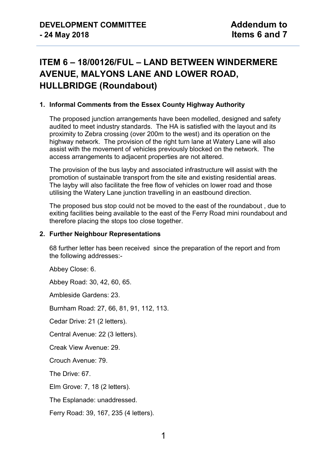# **ITEM 6 – 18/00126/FUL – LAND BETWEEN WINDERMERE AVENUE, MALYONS LANE AND LOWER ROAD, HULLBRIDGE (Roundabout)**

### **1. Informal Comments from the Essex County Highway Authority**

The proposed junction arrangements have been modelled, designed and safety audited to meet industry standards. The HA is satisfied with the layout and its proximity to Zebra crossing (over 200m to the west) and its operation on the highway network. The provision of the right turn lane at Watery Lane will also assist with the movement of vehicles previously blocked on the network. The access arrangements to adjacent properties are not altered.

The provision of the bus layby and associated infrastructure will assist with the promotion of sustainable transport from the site and existing residential areas. The layby will also facilitate the free flow of vehicles on lower road and those utilising the Watery Lane junction travelling in an eastbound direction.

The proposed bus stop could not be moved to the east of the roundabout , due to exiting facilities being available to the east of the Ferry Road mini roundabout and therefore placing the stops too close together.

#### **2. Further Neighbour Representations**

68 further letter has been received since the preparation of the report and from the following addresses:-

Abbey Close: 6.

Abbey Road: 30, 42, 60, 65.

Ambleside Gardens: 23.

Burnham Road: 27, 66, 81, 91, 112, 113.

Cedar Drive: 21 (2 letters).

Central Avenue: 22 (3 letters).

Creak View Avenue: 29.

Crouch Avenue: 79.

The Drive: 67.

Elm Grove: 7, 18 (2 letters).

The Esplanade: unaddressed.

Ferry Road: 39, 167, 235 (4 letters).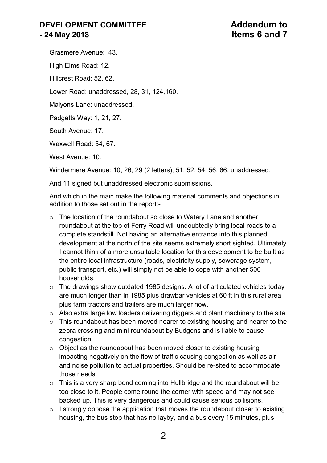Grasmere Avenue: 43. High Elms Road: 12. Hillcrest Road: 52, 62. Lower Road: unaddressed, 28, 31, 124,160. Malyons Lane: unaddressed. Padgetts Way: 1, 21, 27. South Avenue: 17. Waxwell Road: 54, 67.

West Avenue: 10.

Windermere Avenue: 10, 26, 29 (2 letters), 51, 52, 54, 56, 66, unaddressed.

And 11 signed but unaddressed electronic submissions.

And which in the main make the following material comments and objections in addition to those set out in the report:-

- o The location of the roundabout so close to Watery Lane and another roundabout at the top of Ferry Road will undoubtedly bring local roads to a complete standstill. Not having an alternative entrance into this planned development at the north of the site seems extremely short sighted. Ultimately I cannot think of a more unsuitable location for this development to be built as the entire local infrastructure (roads, electricity supply, sewerage system, public transport, etc.) will simply not be able to cope with another 500 households.
- o The drawings show outdated 1985 designs. A lot of articulated vehicles today are much longer than in 1985 plus drawbar vehicles at 60 ft in this rural area plus farm tractors and trailers are much larger now.
- o Also extra large low loaders delivering diggers and plant machinery to the site.
- $\circ$  This roundabout has been moved nearer to existing housing and nearer to the zebra crossing and mini roundabout by Budgens and is liable to cause congestion.
- o Object as the roundabout has been moved closer to existing housing impacting negatively on the flow of traffic causing congestion as well as air and noise pollution to actual properties. Should be re-sited to accommodate those needs.
- $\circ$  This is a very sharp bend coming into Hullbridge and the roundabout will be too close to it. People come round the corner with speed and may not see backed up. This is very dangerous and could cause serious collisions.
- $\circ$  I strongly oppose the application that moves the roundabout closer to existing housing, the bus stop that has no layby, and a bus every 15 minutes, plus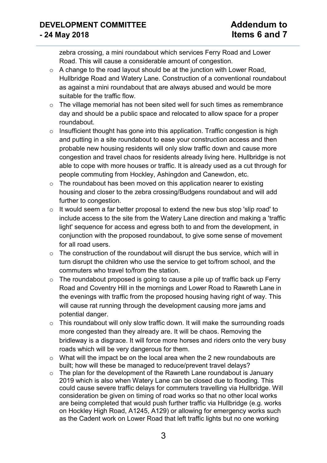### **DEVELOPMENT COMMITTEE Addendum to - 24 May 2018 Items 6 and 7**

zebra crossing, a mini roundabout which services Ferry Road and Lower Road. This will cause a considerable amount of congestion.

- o A change to the road layout should be at the junction with Lower Road, Hullbridge Road and Watery Lane. Construction of a conventional roundabout as against a mini roundabout that are always abused and would be more suitable for the traffic flow.
- o The village memorial has not been sited well for such times as remembrance day and should be a public space and relocated to allow space for a proper roundabout.
- $\circ$  Insufficient thought has gone into this application. Traffic congestion is high and putting in a site roundabout to ease your construction access and then probable new housing residents will only slow traffic down and cause more congestion and travel chaos for residents already living here. Hullbridge is not able to cope with more houses or traffic. It is already used as a cut through for people commuting from Hockley, Ashingdon and Canewdon, etc.
- $\circ$  The roundabout has been moved on this application nearer to existing housing and closer to the zebra crossing/Budgens roundabout and will add further to congestion.
- $\circ$  It would seem a far better proposal to extend the new bus stop 'slip road' to include access to the site from the Watery Lane direction and making a 'traffic light' sequence for access and egress both to and from the development, in conjunction with the proposed roundabout, to give some sense of movement for all road users.
- o The construction of the roundabout will disrupt the bus service, which will in turn disrupt the children who use the service to get to/from school, and the commuters who travel to/from the station.
- $\circ$  The roundabout proposed is going to cause a pile up of traffic back up Ferry Road and Coventry Hill in the mornings and Lower Road to Rawreth Lane in the evenings with traffic from the proposed housing having right of way. This will cause rat running through the development causing more jams and potential danger.
- $\circ$  This roundabout will only slow traffic down. It will make the surrounding roads more congested than they already are. It will be chaos. Removing the bridleway is a disgrace. It will force more horses and riders onto the very busy roads which will be very dangerous for them.
- $\circ$  What will the impact be on the local area when the 2 new roundabouts are built; how will these be managed to reduce/prevent travel delays?
- $\circ$  The plan for the development of the Rawreth Lane roundabout is January 2019 which is also when Watery Lane can be closed due to flooding. This could cause severe traffic delays for commuters travelling via Hullbridge. Will consideration be given on timing of road works so that no other local works are being completed that would push further traffic via Hullbridge (e.g. works on Hockley High Road, A1245, A129) or allowing for emergency works such as the Cadent work on Lower Road that left traffic lights but no one working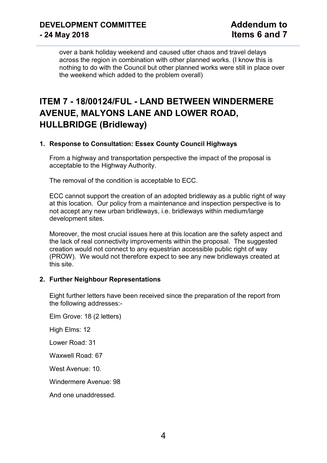over a bank holiday weekend and caused utter chaos and travel delays across the region in combination with other planned works. (I know this is nothing to do with the Council but other planned works were still in place over the weekend which added to the problem overall)

## **ITEM 7 - 18/00124/FUL - LAND BETWEEN WINDERMERE AVENUE, MALYONS LANE AND LOWER ROAD, HULLBRIDGE (Bridleway)**

### **1. Response to Consultation: Essex County Council Highways**

From a highway and transportation perspective the impact of the proposal is acceptable to the Highway Authority.

The removal of the condition is acceptable to ECC.

ECC cannot support the creation of an adopted bridleway as a public right of way at this location. Our policy from a maintenance and inspection perspective is to not accept any new urban bridleways, i.e. bridleways within medium/large development sites.

Moreover, the most crucial issues here at this location are the safety aspect and the lack of real connectivity improvements within the proposal. The suggested creation would not connect to any equestrian accessible public right of way (PROW). We would not therefore expect to see any new bridleways created at this site.

### **2. Further Neighbour Representations**

Eight further letters have been received since the preparation of the report from the following addresses:-

Elm Grove: 18 (2 letters) High Elms: 12 Lower Road: 31 Waxwell Road: 67 West Avenue: 10. Windermere Avenue: 98 And one unaddressed.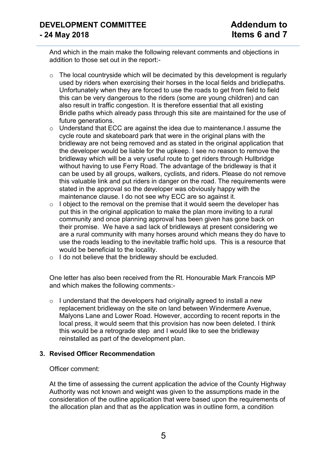And which in the main make the following relevant comments and objections in addition to those set out in the report:-

- $\circ$  The local countryside which will be decimated by this development is regularly used by riders when exercising their horses in the local fields and bridlepaths. Unfortunately when they are forced to use the roads to get from field to field this can be very dangerous to the riders (some are young children) and can also result in traffic congestion. It is therefore essential that all existing Bridle paths which already pass through this site are maintained for the use of future generations.
- o Understand that ECC are against the idea due to maintenance.I assume the cycle route and skateboard park that were in the original plans with the bridleway are not being removed and as stated in the original application that the developer would be liable for the upkeep. I see no reason to remove the bridleway which will be a very useful route to get riders through Hullbridge without having to use Ferry Road. The advantage of the bridleway is that it can be used by all groups, walkers, cyclists, and riders. Please do not remove this valuable link and put riders in danger on the road. The requirements were stated in the approval so the developer was obviously happy with the maintenance clause. I do not see why ECC are so against it.
- $\circ$  I object to the removal on the premise that it would seem the developer has put this in the original application to make the plan more inviting to a rural community and once planning approval has been given has gone back on their promise. We have a sad lack of bridleways at present considering we are a rural community with many horses around which means they do have to use the roads leading to the inevitable traffic hold ups. This is a resource that would be beneficial to the locality.
- o I do not believe that the bridleway should be excluded.

One letter has also been received from the Rt. Honourable Mark Francois MP and which makes the following comments:-

 $\circ$  I understand that the developers had originally agreed to install a new replacement bridleway on the site on land between Windermere Avenue, Malyons Lane and Lower Road. However, according to recent reports in the local press, it would seem that this provision has now been deleted. I think this would be a retrograde step and I would like to see the bridleway reinstalled as part of the development plan.

### **3. Revised Officer Recommendation**

#### Officer comment:

At the time of assessing the current application the advice of the County Highway Authority was not known and weight was given to the assumptions made in the consideration of the outline application that were based upon the requirements of the allocation plan and that as the application was in outline form, a condition